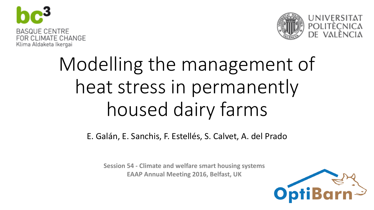



# Modelling the management of heat stress in permanently housed dairy farms

E. Galán, E. Sanchis, F. Estellés, S. Calvet, A. del Prado

**Session 54 - Climate and welfare smart housing systems EAAP Annual Meeting 2016, Belfast, UK**

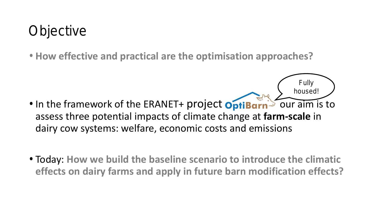## **Objective**

• **How effective and practical are the optimisation approaches?**

• In the framework of the ERANET+ project **OptiBarn** our aim is to assess three potential impacts of climate change at **farm-scale** in dairy cow systems: welfare, economic costs and emissions

Fully

housed!

• Today: **How we build the baseline scenario to introduce the climatic effects on dairy farms and apply in future barn modification effects?**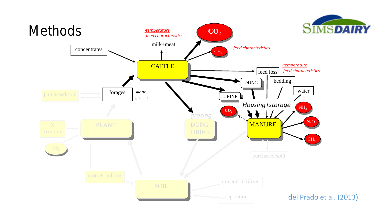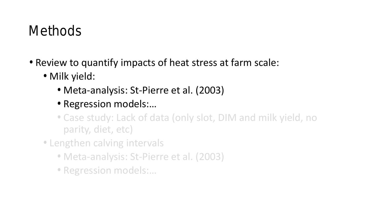## Methods

- Review to quantify impacts of heat stress at farm scale:
	- Milk yield:
		- Meta-analysis: St-Pierre et al. (2003)
		- Regression models:…
		- Case study: Lack of data (only slot, DIM and milk yield, no parity, diet, etc)
	- Lengthen calving intervals
		- Meta-analysis: St-Pierre et al. (2003)
		- Regression models:…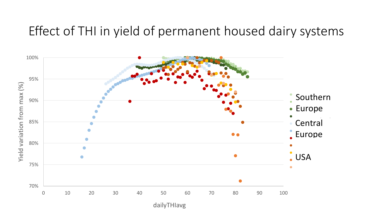#### Effect of THI in yield of permanent housed dairy systems

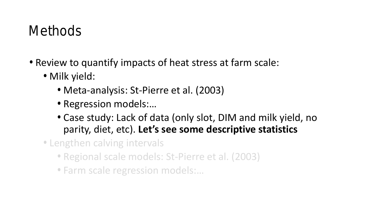## **Methods**

- Review to quantify impacts of heat stress at farm scale:
	- Milk yield:
		- Meta-analysis: St-Pierre et al. (2003)
		- Regression models:…
		- Case study: Lack of data (only slot, DIM and milk yield, no parity, diet, etc). **Let's see some descriptive statistics**
	- Lengthen calving intervals
		- Regional scale models: St-Pierre et al. (2003)
		- Farm scale regression models:…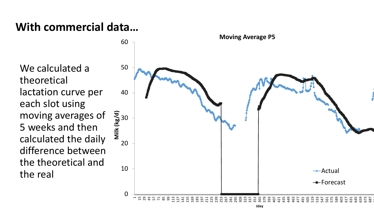We calculated a theoretical lactation curve per each slot using moving averages of 5 weeks and then calculated the daily difference between the theoretical and the real

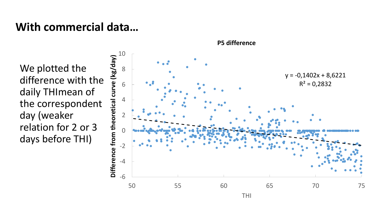We plotted the difference with the daily THImean of the correspondent day (weaker relation for 2 or 3 days before THI)

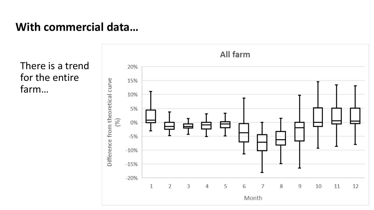There is a trend for the entire farm…

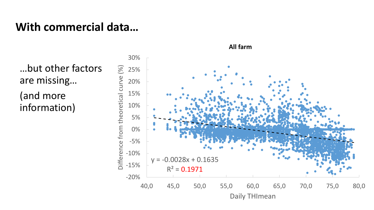…but other factors are missing…

(and more information)

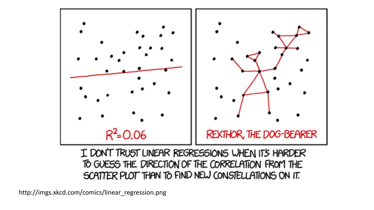

I DON'T TRUST LINEAR REGRESSIONS WHEN IT'S HARDER TO GUESS THE DIRECTION OF THE CORRELATION FROM THE SCATTER PLOT THAN TO FIND NEW CONSTELLATIONS ON IT.

http://imgs.xkcd.com/comics/linear\_regression.png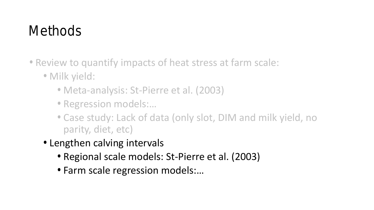## Methods

- Review to quantify impacts of heat stress at farm scale:
	- Milk yield:
		- Meta-analysis: St-Pierre et al. (2003)
		- Regression models:…
		- Case study: Lack of data (only slot, DIM and milk yield, no parity, diet, etc)
	- Lengthen calving intervals
		- Regional scale models: St-Pierre et al. (2003)
		- Farm scale regression models:…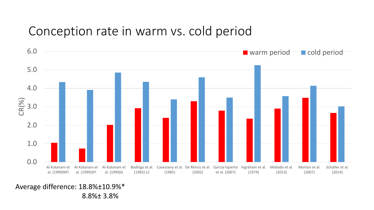#### Conception rate in warm vs. cold period



Average difference: 18.8%±10.9%\*

8.8%± 3.8%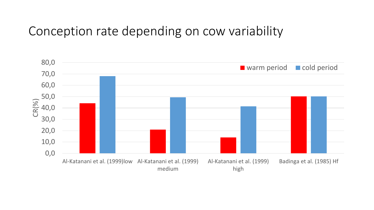#### Conception rate depending on cow variability

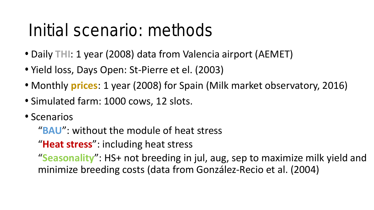## Initial scenario: methods

- Daily **THI**: 1 year (2008) data from Valencia airport (AEMET)
- Yield loss, Days Open: St-Pierre et el. (2003)
- Monthly **prices**: 1 year (2008) for Spain (Milk market observatory, 2016)
- Simulated farm: 1000 cows, 12 slots.
- Scenarios

"**BAU**": without the module of heat stress

"**Heat stress**": including heat stress

"**Seasonality**": HS+ not breeding in jul, aug, sep to maximize milk yield and minimize breeding costs (data from González-Recio et al. (2004)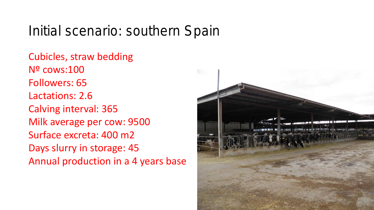### Initial scenario: southern Spain

Cubicles, straw bedding Nº cows:100 Followers: 65 Lactations: 2.6 Calving interval: 365 Milk average per cow: 9500 Surface excreta: 400 m2 Days slurry in storage: 45 Annual production in a 4 years base

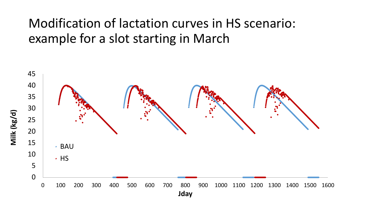#### Modification of lactation curves in HS scenario: example for a slot starting in March

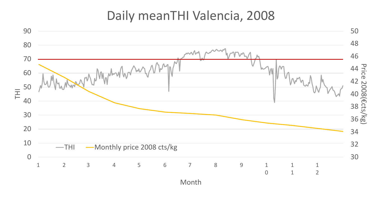#### Daily meanTHI Valencia, 2008

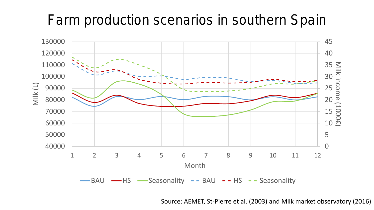## Farm production scenarios in southern Spain



Source: AEMET, St-Pierre et al. (2003) and Milk market observatory (2016)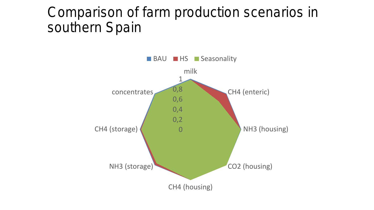#### Comparison of farm production scenarios in southern Spain

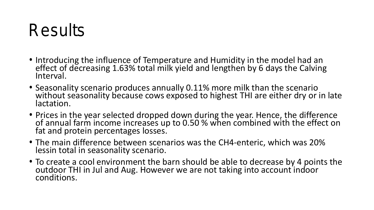## Results

- Introducing the influence of Temperature and Humidity in the model had an effect of decreasing 1.63% total milk yield and lengthen by 6 days the Calving Interval.
- Seasonality scenario produces annually 0.11% more milk than the scenario without seasonality because cows exposed to highest THI are either dry or in late lactation.
- Prices in the year selected dropped down during the year. Hence, the difference of annual farm income increases up to 0.50 % when combined with the effect on fat and protein percentages losses.
- The main difference between scenarios was the CH4-enteric, which was 20% lessin total in seasonality scenario.
- To create a cool environment the barn should be able to decrease by 4 points the outdoor THI in Jul and Aug. However we are not taking into account indoor conditions.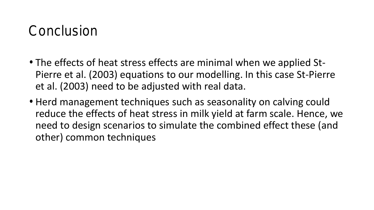### **Conclusion**

- The effects of heat stress effects are minimal when we applied St-Pierre et al. (2003) equations to our modelling. In this case St-Pierre et al. (2003) need to be adjusted with real data.
- Herd management techniques such as seasonality on calving could reduce the effects of heat stress in milk yield at farm scale. Hence, we need to design scenarios to simulate the combined effect these (and other) common techniques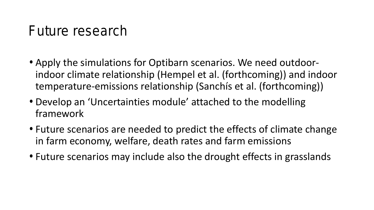### Future research

- Apply the simulations for Optibarn scenarios. We need outdoorindoor climate relationship (Hempel et al. (forthcoming)) and indoor temperature-emissions relationship (Sanchís et al. (forthcoming))
- Develop an 'Uncertainties module' attached to the modelling framework
- Future scenarios are needed to predict the effects of climate change in farm economy, welfare, death rates and farm emissions
- Future scenarios may include also the drought effects in grasslands